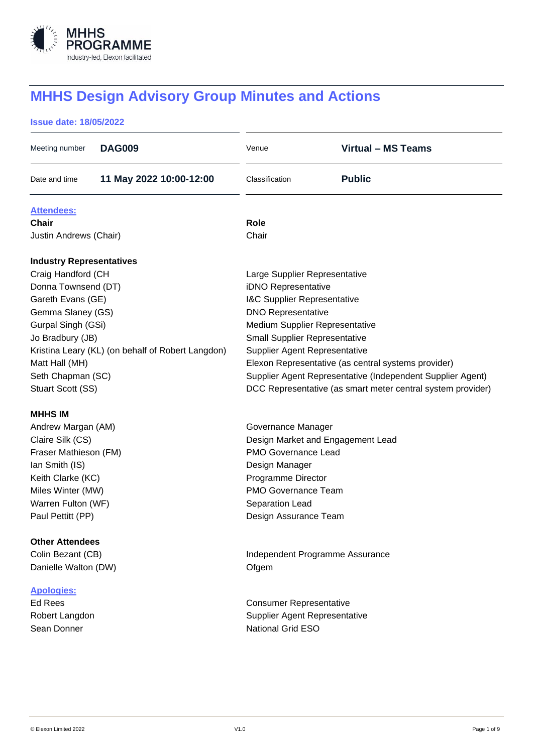

# **MHHS Design Advisory Group Minutes and Actions**

# **Issue date: 18/05/2022**

| Meeting number                  | <b>DAG009</b>                                     | Venue                                                      | <b>Virtual - MS Teams</b>                                   |  |
|---------------------------------|---------------------------------------------------|------------------------------------------------------------|-------------------------------------------------------------|--|
| Date and time                   | 11 May 2022 10:00-12:00                           | Classification                                             | <b>Public</b>                                               |  |
| <b>Attendees:</b>               |                                                   |                                                            |                                                             |  |
| <b>Chair</b>                    |                                                   | Role                                                       |                                                             |  |
| Justin Andrews (Chair)          |                                                   | Chair                                                      |                                                             |  |
| <b>Industry Representatives</b> |                                                   |                                                            |                                                             |  |
| Craig Handford (CH              |                                                   | Large Supplier Representative                              |                                                             |  |
| Donna Townsend (DT)             |                                                   | iDNO Representative                                        |                                                             |  |
| Gareth Evans (GE)               |                                                   | I&C Supplier Representative                                |                                                             |  |
| Gemma Slaney (GS)               |                                                   | <b>DNO Representative</b>                                  |                                                             |  |
| Gurpal Singh (GSi)              |                                                   | Medium Supplier Representative                             |                                                             |  |
| Jo Bradbury (JB)                |                                                   | <b>Small Supplier Representative</b>                       |                                                             |  |
|                                 | Kristina Leary (KL) (on behalf of Robert Langdon) | <b>Supplier Agent Representative</b>                       |                                                             |  |
| Matt Hall (MH)                  |                                                   | Elexon Representative (as central systems provider)        |                                                             |  |
| Seth Chapman (SC)               |                                                   | Supplier Agent Representative (Independent Supplier Agent) |                                                             |  |
| Stuart Scott (SS)               |                                                   |                                                            | DCC Representative (as smart meter central system provider) |  |
| <b>MHHS IM</b>                  |                                                   |                                                            |                                                             |  |
| Andrew Margan (AM)              |                                                   | Governance Manager                                         |                                                             |  |
| Claire Silk (CS)                |                                                   | Design Market and Engagement Lead                          |                                                             |  |
| Fraser Mathieson (FM)           |                                                   | <b>PMO Governance Lead</b>                                 |                                                             |  |
| Ian Smith (IS)                  |                                                   | Design Manager                                             |                                                             |  |
| Keith Clarke (KC)               |                                                   | Programme Director                                         |                                                             |  |
| Miles Winter (MW)               |                                                   | PMO Governance Team                                        |                                                             |  |
| Warren Fulton (WF)              |                                                   | Separation Lead                                            |                                                             |  |
| Paul Pettitt (PP)               |                                                   | Design Assurance Team                                      |                                                             |  |
| <b>Other Attendees</b>          |                                                   |                                                            |                                                             |  |
| Colin Bezant (CB)               |                                                   | Independent Programme Assurance                            |                                                             |  |
| Danielle Walton (DW)            |                                                   | Ofgem                                                      |                                                             |  |
| <b>Apologies:</b>               |                                                   |                                                            |                                                             |  |
| <b>Ed Rees</b>                  |                                                   | <b>Consumer Representative</b>                             |                                                             |  |
| Robert Langdon                  |                                                   | <b>Supplier Agent Representative</b>                       |                                                             |  |
| Sean Donner                     |                                                   | <b>National Grid ESO</b>                                   |                                                             |  |
|                                 |                                                   |                                                            |                                                             |  |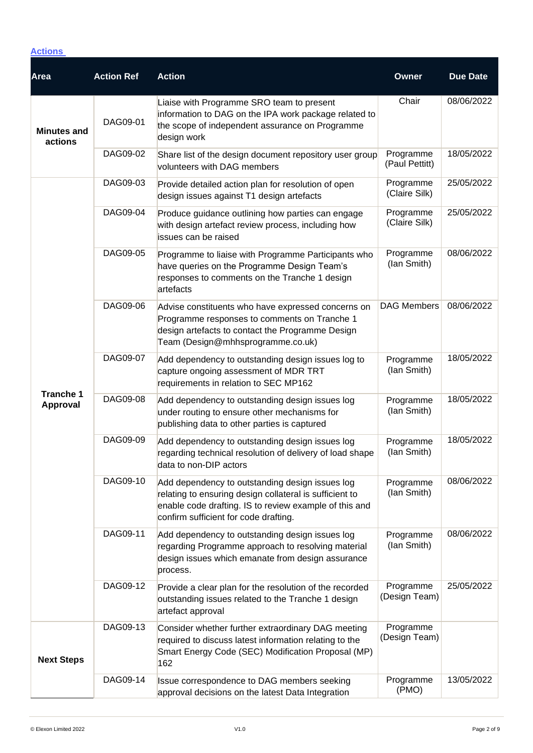# **Actions**

| <b>Area</b>                         | <b>Action Ref</b> | <b>Action</b>                                                                                                                                                                                                 | Owner                       | <b>Due Date</b> |
|-------------------------------------|-------------------|---------------------------------------------------------------------------------------------------------------------------------------------------------------------------------------------------------------|-----------------------------|-----------------|
| <b>Minutes and</b><br>actions       | DAG09-01          | Liaise with Programme SRO team to present<br>information to DAG on the IPA work package related to<br>the scope of independent assurance on Programme<br>design work                                          | Chair                       | 08/06/2022      |
|                                     | DAG09-02          | Share list of the design document repository user group<br>volunteers with DAG members                                                                                                                        | Programme<br>(Paul Pettitt) | 18/05/2022      |
|                                     | DAG09-03          | Provide detailed action plan for resolution of open<br>design issues against T1 design artefacts                                                                                                              | Programme<br>(Claire Silk)  | 25/05/2022      |
|                                     | DAG09-04          | Produce guidance outlining how parties can engage<br>with design artefact review process, including how<br>issues can be raised                                                                               | Programme<br>(Claire Silk)  | 25/05/2022      |
|                                     | DAG09-05          | Programme to liaise with Programme Participants who<br>have queries on the Programme Design Team's<br>responses to comments on the Tranche 1 design<br>artefacts                                              | Programme<br>(lan Smith)    | 08/06/2022      |
|                                     | DAG09-06          | Advise constituents who have expressed concerns on<br>Programme responses to comments on Tranche 1<br>design artefacts to contact the Programme Design<br>Team (Design@mhhsprogramme.co.uk)                   | <b>DAG Members</b>          | 08/06/2022      |
|                                     | DAG09-07          | Add dependency to outstanding design issues log to<br>capture ongoing assessment of MDR TRT<br>requirements in relation to SEC MP162                                                                          | Programme<br>(lan Smith)    | 18/05/2022      |
| <b>Tranche 1</b><br><b>Approval</b> | DAG09-08          | Add dependency to outstanding design issues log<br>under routing to ensure other mechanisms for<br>publishing data to other parties is captured                                                               | Programme<br>(lan Smith)    | 18/05/2022      |
|                                     | DAG09-09          | Add dependency to outstanding design issues log<br>regarding technical resolution of delivery of load shape<br>data to non-DIP actors                                                                         | Programme<br>(lan Smith)    | 18/05/2022      |
|                                     | DAG09-10          | Add dependency to outstanding design issues log<br>relating to ensuring design collateral is sufficient to<br>enable code drafting. IS to review example of this and<br>confirm sufficient for code drafting. | Programme<br>(lan Smith)    | 08/06/2022      |
|                                     | DAG09-11          | Add dependency to outstanding design issues log<br>regarding Programme approach to resolving material<br>design issues which emanate from design assurance<br>process.                                        | Programme<br>(lan Smith)    | 08/06/2022      |
|                                     | DAG09-12          | Provide a clear plan for the resolution of the recorded<br>outstanding issues related to the Tranche 1 design<br>artefact approval                                                                            | Programme<br>(Design Team)  | 25/05/2022      |
| <b>Next Steps</b>                   | DAG09-13          | Consider whether further extraordinary DAG meeting<br>required to discuss latest information relating to the<br>Smart Energy Code (SEC) Modification Proposal (MP)<br>162                                     | Programme<br>(Design Team)  |                 |
|                                     | DAG09-14          | Issue correspondence to DAG members seeking<br>approval decisions on the latest Data Integration                                                                                                              | Programme<br>(PMO)          | 13/05/2022      |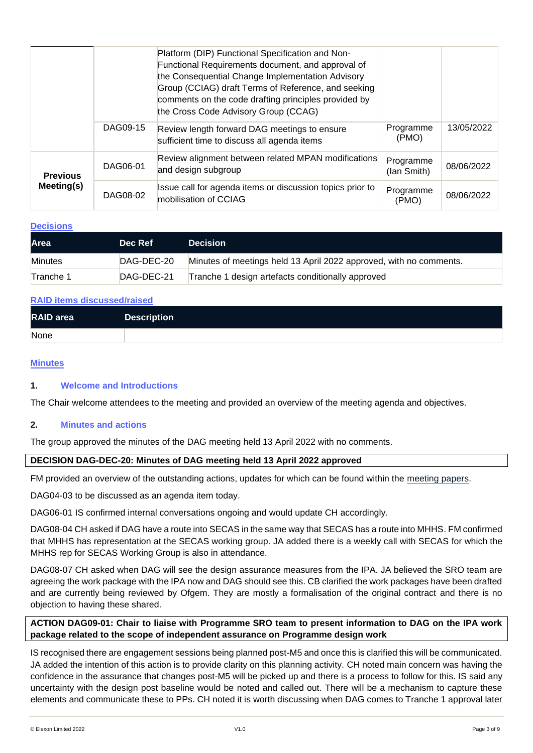|                 |          | Platform (DIP) Functional Specification and Non-<br>Functional Requirements document, and approval of<br>the Consequential Change Implementation Advisory<br>Group (CCIAG) draft Terms of Reference, and seeking<br>comments on the code drafting principles provided by<br>the Cross Code Advisory Group (CCAG) |                          |            |
|-----------------|----------|------------------------------------------------------------------------------------------------------------------------------------------------------------------------------------------------------------------------------------------------------------------------------------------------------------------|--------------------------|------------|
|                 | DAG09-15 | Review length forward DAG meetings to ensure<br>sufficient time to discuss all agenda items                                                                                                                                                                                                                      | Programme<br>(PMO)       | 13/05/2022 |
| <b>Previous</b> | DAG06-01 | Review alignment between related MPAN modifications<br>and design subgroup                                                                                                                                                                                                                                       | Programme<br>(lan Smith) | 08/06/2022 |
| Meeting(s)      | DAG08-02 | Issue call for agenda items or discussion topics prior to<br>mobilisation of CCIAG                                                                                                                                                                                                                               | Programme<br>(PMO)       | 08/06/2022 |

#### **Decisions**

| <b>Area</b>    | Dec Ref    | <b>Decision</b>                                                    |
|----------------|------------|--------------------------------------------------------------------|
| <b>Minutes</b> | DAG-DEC-20 | Minutes of meetings held 13 April 2022 approved, with no comments. |
| Tranche 1      | DAG-DEC-21 | Tranche 1 design artefacts conditionally approved                  |

#### **RAID items discussed/raised**

| <b>RAID</b> area | <b>Description</b> |
|------------------|--------------------|
| None             |                    |

#### **Minutes**

# **1. Welcome and Introductions**

The Chair welcome attendees to the meeting and provided an overview of the meeting agenda and objectives.

## **2. Minutes and actions**

The group approved the minutes of the DAG meeting held 13 April 2022 with no comments.

## **DECISION DAG-DEC-20: Minutes of DAG meeting held 13 April 2022 approved**

FM provided an overview of the outstanding actions, updates for which can be found within the [meeting papers.](https://mhhsprogramme-production-cdn.s3.eu-west-2.amazonaws.com/wp-content/uploads/2022/04/06124839/MHHS-DEL351-DAG-13-April-2022-v1.0.pdf)

DAG04-03 to be discussed as an agenda item today.

DAG06-01 IS confirmed internal conversations ongoing and would update CH accordingly.

DAG08-04 CH asked if DAG have a route into SECAS in the same way that SECAS has a route into MHHS. FM confirmed that MHHS has representation at the SECAS working group. JA added there is a weekly call with SECAS for which the MHHS rep for SECAS Working Group is also in attendance.

DAG08-07 CH asked when DAG will see the design assurance measures from the IPA. JA believed the SRO team are agreeing the work package with the IPA now and DAG should see this. CB clarified the work packages have been drafted and are currently being reviewed by Ofgem. They are mostly a formalisation of the original contract and there is no objection to having these shared.

**ACTION DAG09-01: Chair to liaise with Programme SRO team to present information to DAG on the IPA work package related to the scope of independent assurance on Programme design work**

IS recognised there are engagement sessions being planned post-M5 and once this is clarified this will be communicated. JA added the intention of this action is to provide clarity on this planning activity. CH noted main concern was having the confidence in the assurance that changes post-M5 will be picked up and there is a process to follow for this. IS said any uncertainty with the design post baseline would be noted and called out. There will be a mechanism to capture these elements and communicate these to PPs. CH noted it is worth discussing when DAG comes to Tranche 1 approval later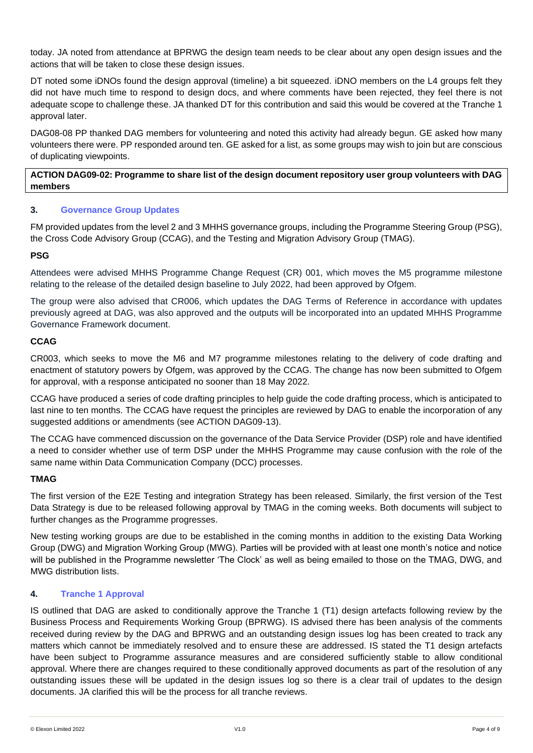today. JA noted from attendance at BPRWG the design team needs to be clear about any open design issues and the actions that will be taken to close these design issues.

DT noted some iDNOs found the design approval (timeline) a bit squeezed. iDNO members on the L4 groups felt they did not have much time to respond to design docs, and where comments have been rejected, they feel there is not adequate scope to challenge these. JA thanked DT for this contribution and said this would be covered at the Tranche 1 approval later.

DAG08-08 PP thanked DAG members for volunteering and noted this activity had already begun. GE asked how many volunteers there were. PP responded around ten. GE asked for a list, as some groups may wish to join but are conscious of duplicating viewpoints.

# **ACTION DAG09-02: Programme to share list of the design document repository user group volunteers with DAG members**

# **3. Governance Group Updates**

FM provided updates from the level 2 and 3 MHHS governance groups, including the Programme Steering Group (PSG), the Cross Code Advisory Group (CCAG), and the Testing and Migration Advisory Group (TMAG).

# **PSG**

Attendees were advised MHHS Programme Change Request (CR) 001, which moves the M5 programme milestone relating to the release of the detailed design baseline to July 2022, had been approved by Ofgem.

The group were also advised that CR006, which updates the DAG Terms of Reference in accordance with updates previously agreed at DAG, was also approved and the outputs will be incorporated into an updated MHHS Programme Governance Framework document.

# **CCAG**

CR003, which seeks to move the M6 and M7 programme milestones relating to the delivery of code drafting and enactment of statutory powers by Ofgem, was approved by the CCAG. The change has now been submitted to Ofgem for approval, with a response anticipated no sooner than 18 May 2022.

CCAG have produced a series of code drafting principles to help guide the code drafting process, which is anticipated to last nine to ten months. The CCAG have request the principles are reviewed by DAG to enable the incorporation of any suggested additions or amendments (see ACTION DAG09-13).

The CCAG have commenced discussion on the governance of the Data Service Provider (DSP) role and have identified a need to consider whether use of term DSP under the MHHS Programme may cause confusion with the role of the same name within Data Communication Company (DCC) processes.

# **TMAG**

The first version of the E2E Testing and integration Strategy has been released. Similarly, the first version of the Test Data Strategy is due to be released following approval by TMAG in the coming weeks. Both documents will subject to further changes as the Programme progresses.

New testing working groups are due to be established in the coming months in addition to the existing Data Working Group (DWG) and Migration Working Group (MWG). Parties will be provided with at least one month's notice and notice will be published in the Programme newsletter 'The Clock' as well as being emailed to those on the TMAG, DWG, and MWG distribution lists.

# **4. Tranche 1 Approval**

IS outlined that DAG are asked to conditionally approve the Tranche 1 (T1) design artefacts following review by the Business Process and Requirements Working Group (BPRWG). IS advised there has been analysis of the comments received during review by the DAG and BPRWG and an outstanding design issues log has been created to track any matters which cannot be immediately resolved and to ensure these are addressed. IS stated the T1 design artefacts have been subject to Programme assurance measures and are considered sufficiently stable to allow conditional approval. Where there are changes required to these conditionally approved documents as part of the resolution of any outstanding issues these will be updated in the design issues log so there is a clear trail of updates to the design documents. JA clarified this will be the process for all tranche reviews.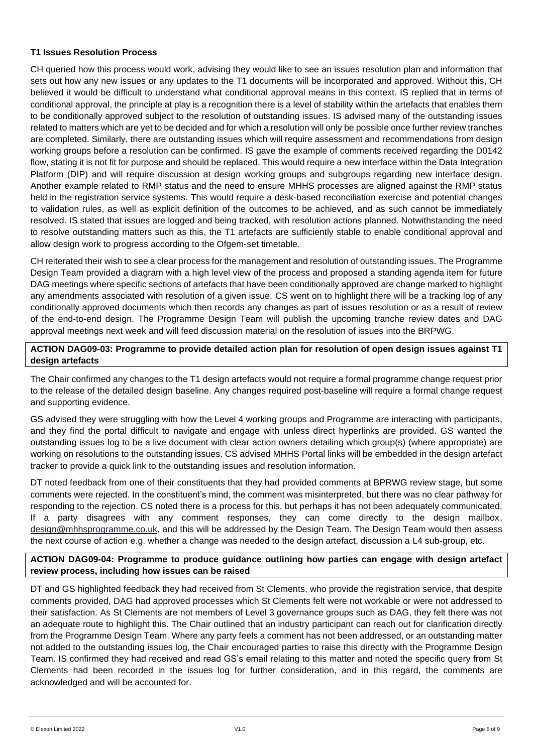# **T1 Issues Resolution Process**

CH queried how this process would work, advising they would like to see an issues resolution plan and information that sets out how any new issues or any updates to the T1 documents will be incorporated and approved. Without this, CH believed it would be difficult to understand what conditional approval means in this context. IS replied that in terms of conditional approval, the principle at play is a recognition there is a level of stability within the artefacts that enables them to be conditionally approved subject to the resolution of outstanding issues. IS advised many of the outstanding issues related to matters which are yet to be decided and for which a resolution will only be possible once further review tranches are completed. Similarly, there are outstanding issues which will require assessment and recommendations from design working groups before a resolution can be confirmed. IS gave the example of comments received regarding the D0142 flow, stating it is not fit for purpose and should be replaced. This would require a new interface within the Data Integration Platform (DIP) and will require discussion at design working groups and subgroups regarding new interface design. Another example related to RMP status and the need to ensure MHHS processes are aligned against the RMP status held in the registration service systems. This would require a desk-based reconciliation exercise and potential changes to validation rules, as well as explicit definition of the outcomes to be achieved, and as such cannot be immediately resolved. IS stated that issues are logged and being tracked, with resolution actions planned. Notwithstanding the need to resolve outstanding matters such as this, the T1 artefacts are sufficiently stable to enable conditional approval and allow design work to progress according to the Ofgem-set timetable.

CH reiterated their wish to see a clear process for the management and resolution of outstanding issues. The Programme Design Team provided a diagram with a high level view of the process and proposed a standing agenda item for future DAG meetings where specific sections of artefacts that have been conditionally approved are change marked to highlight any amendments associated with resolution of a given issue. CS went on to highlight there will be a tracking log of any conditionally approved documents which then records any changes as part of issues resolution or as a result of review of the end-to-end design. The Programme Design Team will publish the upcoming tranche review dates and DAG approval meetings next week and will feed discussion material on the resolution of issues into the BRPWG.

# **ACTION DAG09-03: Programme to provide detailed action plan for resolution of open design issues against T1 design artefacts**

The Chair confirmed any changes to the T1 design artefacts would not require a formal programme change request prior to the release of the detailed design baseline. Any changes required post-baseline will require a formal change request and supporting evidence.

GS advised they were struggling with how the Level 4 working groups and Programme are interacting with participants, and they find the portal difficult to navigate and engage with unless direct hyperlinks are provided. GS wanted the outstanding issues log to be a live document with clear action owners detailing which group(s) (where appropriate) are working on resolutions to the outstanding issues. CS advised MHHS Portal links will be embedded in the design artefact tracker to provide a quick link to the outstanding issues and resolution information.

DT noted feedback from one of their constituents that they had provided comments at BPRWG review stage, but some comments were rejected. In the constituent's mind, the comment was misinterpreted, but there was no clear pathway for responding to the rejection. CS noted there is a process for this, but perhaps it has not been adequately communicated. If a party disagrees with any comment responses, they can come directly to the design mailbox, [design@mhhsprogramme.co.uk,](mailto:design@mhhsprogramme.co.uk) and this will be addressed by the Design Team. The Design Team would then assess the next course of action e.g. whether a change was needed to the design artefact, discussion a L4 sub-group, etc.

# **ACTION DAG09-04: Programme to produce guidance outlining how parties can engage with design artefact review process, including how issues can be raised**

DT and GS highlighted feedback they had received from St Clements, who provide the registration service, that despite comments provided, DAG had approved processes which St Clements felt were not workable or were not addressed to their satisfaction. As St Clements are not members of Level 3 governance groups such as DAG, they felt there was not an adequate route to highlight this. The Chair outlined that an industry participant can reach out for clarification directly from the Programme Design Team. Where any party feels a comment has not been addressed, or an outstanding matter not added to the outstanding issues log, the Chair encouraged parties to raise this directly with the Programme Design Team. IS confirmed they had received and read GS's email relating to this matter and noted the specific query from St Clements had been recorded in the issues log for further consideration, and in this regard, the comments are acknowledged and will be accounted for.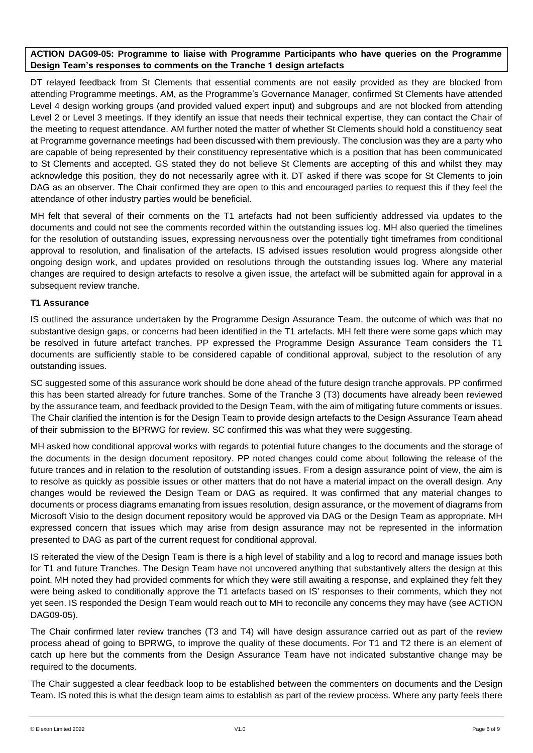# **ACTION DAG09-05: Programme to liaise with Programme Participants who have queries on the Programme Design Team's responses to comments on the Tranche 1 design artefacts**

DT relayed feedback from St Clements that essential comments are not easily provided as they are blocked from attending Programme meetings. AM, as the Programme's Governance Manager, confirmed St Clements have attended Level 4 design working groups (and provided valued expert input) and subgroups and are not blocked from attending Level 2 or Level 3 meetings. If they identify an issue that needs their technical expertise, they can contact the Chair of the meeting to request attendance. AM further noted the matter of whether St Clements should hold a constituency seat at Programme governance meetings had been discussed with them previously. The conclusion was they are a party who are capable of being represented by their constituency representative which is a position that has been communicated to St Clements and accepted. GS stated they do not believe St Clements are accepting of this and whilst they may acknowledge this position, they do not necessarily agree with it. DT asked if there was scope for St Clements to join DAG as an observer. The Chair confirmed they are open to this and encouraged parties to request this if they feel the attendance of other industry parties would be beneficial.

MH felt that several of their comments on the T1 artefacts had not been sufficiently addressed via updates to the documents and could not see the comments recorded within the outstanding issues log. MH also queried the timelines for the resolution of outstanding issues, expressing nervousness over the potentially tight timeframes from conditional approval to resolution, and finalisation of the artefacts. IS advised issues resolution would progress alongside other ongoing design work, and updates provided on resolutions through the outstanding issues log. Where any material changes are required to design artefacts to resolve a given issue, the artefact will be submitted again for approval in a subsequent review tranche.

# **T1 Assurance**

IS outlined the assurance undertaken by the Programme Design Assurance Team, the outcome of which was that no substantive design gaps, or concerns had been identified in the T1 artefacts. MH felt there were some gaps which may be resolved in future artefact tranches. PP expressed the Programme Design Assurance Team considers the T1 documents are sufficiently stable to be considered capable of conditional approval, subject to the resolution of any outstanding issues.

SC suggested some of this assurance work should be done ahead of the future design tranche approvals. PP confirmed this has been started already for future tranches. Some of the Tranche 3 (T3) documents have already been reviewed by the assurance team, and feedback provided to the Design Team, with the aim of mitigating future comments or issues. The Chair clarified the intention is for the Design Team to provide design artefacts to the Design Assurance Team ahead of their submission to the BPRWG for review. SC confirmed this was what they were suggesting.

MH asked how conditional approval works with regards to potential future changes to the documents and the storage of the documents in the design document repository. PP noted changes could come about following the release of the future trances and in relation to the resolution of outstanding issues. From a design assurance point of view, the aim is to resolve as quickly as possible issues or other matters that do not have a material impact on the overall design. Any changes would be reviewed the Design Team or DAG as required. It was confirmed that any material changes to documents or process diagrams emanating from issues resolution, design assurance, or the movement of diagrams from Microsoft Visio to the design document repository would be approved via DAG or the Design Team as appropriate. MH expressed concern that issues which may arise from design assurance may not be represented in the information presented to DAG as part of the current request for conditional approval.

IS reiterated the view of the Design Team is there is a high level of stability and a log to record and manage issues both for T1 and future Tranches. The Design Team have not uncovered anything that substantively alters the design at this point. MH noted they had provided comments for which they were still awaiting a response, and explained they felt they were being asked to conditionally approve the T1 artefacts based on IS' responses to their comments, which they not yet seen. IS responded the Design Team would reach out to MH to reconcile any concerns they may have (see ACTION DAG09-05).

The Chair confirmed later review tranches (T3 and T4) will have design assurance carried out as part of the review process ahead of going to BPRWG, to improve the quality of these documents. For T1 and T2 there is an element of catch up here but the comments from the Design Assurance Team have not indicated substantive change may be required to the documents.

The Chair suggested a clear feedback loop to be established between the commenters on documents and the Design Team. IS noted this is what the design team aims to establish as part of the review process. Where any party feels there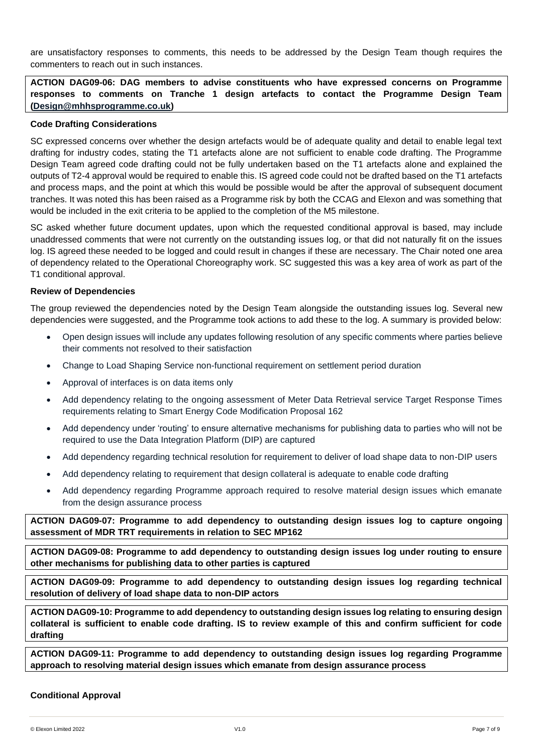are unsatisfactory responses to comments, this needs to be addressed by the Design Team though requires the commenters to reach out in such instances.

**ACTION DAG09-06: DAG members to advise constituents who have expressed concerns on Programme responses to comments on Tranche 1 design artefacts to contact the Programme Design Team [\(Design@mhhsprogramme.co.uk\)](mailto:Design@mhhsprogramme.co.uk)**

### **Code Drafting Considerations**

SC expressed concerns over whether the design artefacts would be of adequate quality and detail to enable legal text drafting for industry codes, stating the T1 artefacts alone are not sufficient to enable code drafting. The Programme Design Team agreed code drafting could not be fully undertaken based on the T1 artefacts alone and explained the outputs of T2-4 approval would be required to enable this. IS agreed code could not be drafted based on the T1 artefacts and process maps, and the point at which this would be possible would be after the approval of subsequent document tranches. It was noted this has been raised as a Programme risk by both the CCAG and Elexon and was something that would be included in the exit criteria to be applied to the completion of the M5 milestone.

SC asked whether future document updates, upon which the requested conditional approval is based, may include unaddressed comments that were not currently on the outstanding issues log, or that did not naturally fit on the issues log. IS agreed these needed to be logged and could result in changes if these are necessary. The Chair noted one area of dependency related to the Operational Choreography work. SC suggested this was a key area of work as part of the T1 conditional approval.

#### **Review of Dependencies**

The group reviewed the dependencies noted by the Design Team alongside the outstanding issues log. Several new dependencies were suggested, and the Programme took actions to add these to the log. A summary is provided below:

- Open design issues will include any updates following resolution of any specific comments where parties believe their comments not resolved to their satisfaction
- Change to Load Shaping Service non-functional requirement on settlement period duration
- Approval of interfaces is on data items only
- Add dependency relating to the ongoing assessment of Meter Data Retrieval service Target Response Times requirements relating to Smart Energy Code Modification Proposal 162
- Add dependency under 'routing' to ensure alternative mechanisms for publishing data to parties who will not be required to use the Data Integration Platform (DIP) are captured
- Add dependency regarding technical resolution for requirement to deliver of load shape data to non-DIP users
- Add dependency relating to requirement that design collateral is adequate to enable code drafting
- Add dependency regarding Programme approach required to resolve material design issues which emanate from the design assurance process

**ACTION DAG09-07: Programme to add dependency to outstanding design issues log to capture ongoing assessment of MDR TRT requirements in relation to SEC MP162**

**ACTION DAG09-08: Programme to add dependency to outstanding design issues log under routing to ensure other mechanisms for publishing data to other parties is captured**

**ACTION DAG09-09: Programme to add dependency to outstanding design issues log regarding technical resolution of delivery of load shape data to non-DIP actors**

**ACTION DAG09-10: Programme to add dependency to outstanding design issues log relating to ensuring design collateral is sufficient to enable code drafting. IS to review example of this and confirm sufficient for code drafting**

**ACTION DAG09-11: Programme to add dependency to outstanding design issues log regarding Programme approach to resolving material design issues which emanate from design assurance process**

#### **Conditional Approval**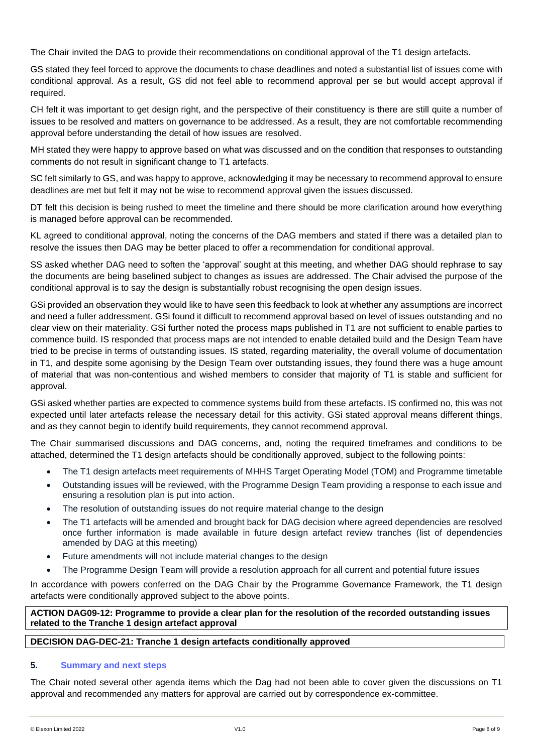The Chair invited the DAG to provide their recommendations on conditional approval of the T1 design artefacts.

GS stated they feel forced to approve the documents to chase deadlines and noted a substantial list of issues come with conditional approval. As a result, GS did not feel able to recommend approval per se but would accept approval if required.

CH felt it was important to get design right, and the perspective of their constituency is there are still quite a number of issues to be resolved and matters on governance to be addressed. As a result, they are not comfortable recommending approval before understanding the detail of how issues are resolved.

MH stated they were happy to approve based on what was discussed and on the condition that responses to outstanding comments do not result in significant change to T1 artefacts.

SC felt similarly to GS, and was happy to approve, acknowledging it may be necessary to recommend approval to ensure deadlines are met but felt it may not be wise to recommend approval given the issues discussed.

DT felt this decision is being rushed to meet the timeline and there should be more clarification around how everything is managed before approval can be recommended.

KL agreed to conditional approval, noting the concerns of the DAG members and stated if there was a detailed plan to resolve the issues then DAG may be better placed to offer a recommendation for conditional approval.

SS asked whether DAG need to soften the 'approval' sought at this meeting, and whether DAG should rephrase to say the documents are being baselined subject to changes as issues are addressed. The Chair advised the purpose of the conditional approval is to say the design is substantially robust recognising the open design issues.

GSi provided an observation they would like to have seen this feedback to look at whether any assumptions are incorrect and need a fuller addressment. GSi found it difficult to recommend approval based on level of issues outstanding and no clear view on their materiality. GSi further noted the process maps published in T1 are not sufficient to enable parties to commence build. IS responded that process maps are not intended to enable detailed build and the Design Team have tried to be precise in terms of outstanding issues. IS stated, regarding materiality, the overall volume of documentation in T1, and despite some agonising by the Design Team over outstanding issues, they found there was a huge amount of material that was non-contentious and wished members to consider that majority of T1 is stable and sufficient for approval.

GSi asked whether parties are expected to commence systems build from these artefacts. IS confirmed no, this was not expected until later artefacts release the necessary detail for this activity. GSi stated approval means different things, and as they cannot begin to identify build requirements, they cannot recommend approval.

The Chair summarised discussions and DAG concerns, and, noting the required timeframes and conditions to be attached, determined the T1 design artefacts should be conditionally approved, subject to the following points:

- The T1 design artefacts meet requirements of MHHS Target Operating Model (TOM) and Programme timetable
- Outstanding issues will be reviewed, with the Programme Design Team providing a response to each issue and ensuring a resolution plan is put into action.
- The resolution of outstanding issues do not require material change to the design
- The T1 artefacts will be amended and brought back for DAG decision where agreed dependencies are resolved once further information is made available in future design artefact review tranches (list of dependencies amended by DAG at this meeting)
- Future amendments will not include material changes to the design
- The Programme Design Team will provide a resolution approach for all current and potential future issues

In accordance with powers conferred on the DAG Chair by the Programme Governance Framework, the T1 design artefacts were conditionally approved subject to the above points.

**ACTION DAG09-12: Programme to provide a clear plan for the resolution of the recorded outstanding issues related to the Tranche 1 design artefact approval**

## **DECISION DAG-DEC-21: Tranche 1 design artefacts conditionally approved**

## **5. Summary and next steps**

The Chair noted several other agenda items which the Dag had not been able to cover given the discussions on T1 approval and recommended any matters for approval are carried out by correspondence ex-committee.